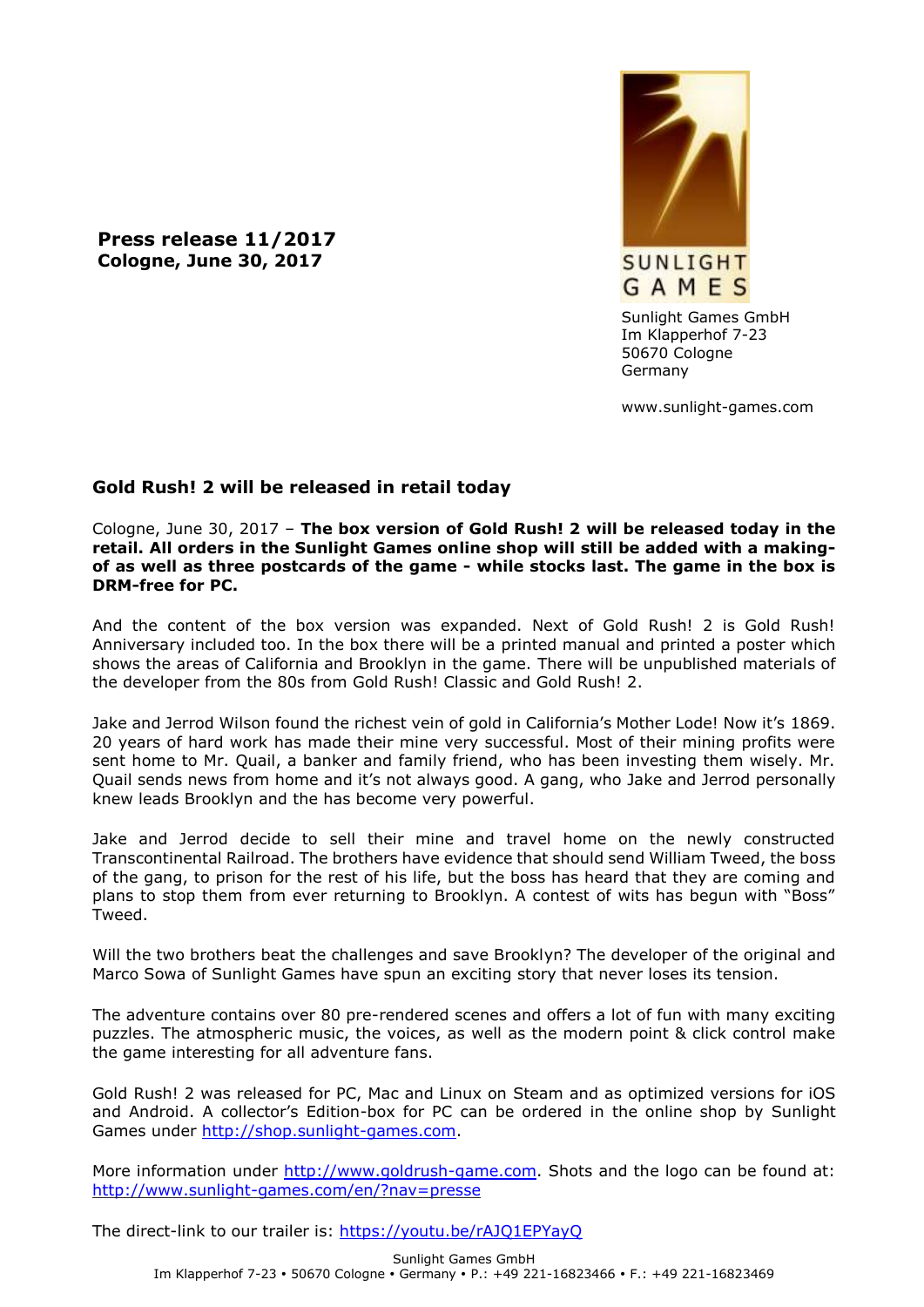**Press release 11/2017 Cologne, June 30, 2017**



Sunlight Games GmbH Im Klapperhof 7-23 50670 Cologne Germany

www.sunlight-games.com

## **Gold Rush! 2 will be released in retail today**

Cologne, June 30, 2017 – **The box version of Gold Rush! 2 will be released today in the retail. All orders in the Sunlight Games online shop will still be added with a makingof as well as three postcards of the game - while stocks last. The game in the box is DRM-free for PC.**

And the content of the box version was expanded. Next of Gold Rush! 2 is Gold Rush! Anniversary included too. In the box there will be a printed manual and printed a poster which shows the areas of California and Brooklyn in the game. There will be unpublished materials of the developer from the 80s from Gold Rush! Classic and Gold Rush! 2.

Jake and Jerrod Wilson found the richest vein of gold in California's Mother Lode! Now it's 1869. 20 years of hard work has made their mine very successful. Most of their mining profits were sent home to Mr. Quail, a banker and family friend, who has been investing them wisely. Mr. Quail sends news from home and it's not always good. A gang, who Jake and Jerrod personally knew leads Brooklyn and the has become very powerful.

Jake and Jerrod decide to sell their mine and travel home on the newly constructed Transcontinental Railroad. The brothers have evidence that should send William Tweed, the boss of the gang, to prison for the rest of his life, but the boss has heard that they are coming and plans to stop them from ever returning to Brooklyn. A contest of wits has begun with "Boss" Tweed.

Will the two brothers beat the challenges and save Brooklyn? The developer of the original and Marco Sowa of Sunlight Games have spun an exciting story that never loses its tension.

The adventure contains over 80 pre-rendered scenes and offers a lot of fun with many exciting puzzles. The atmospheric music, the voices, as well as the modern point & click control make the game interesting for all adventure fans.

Gold Rush! 2 was released for PC, Mac and Linux on Steam and as optimized versions for iOS and Android. A collector's Edition-box for PC can be ordered in the online shop by Sunlight Games under [http://shop.sunlight-games.com.](http://shop.sunlight-games.com/)

More information under [http://www.goldrush-game.com.](http://www.goldrush-game.com/) Shots and the logo can be found at: <http://www.sunlight-games.com/en/?nav=presse>

The direct-link to our trailer is:<https://youtu.be/rAJQ1EPYayQ>